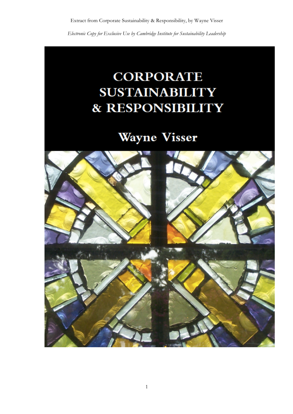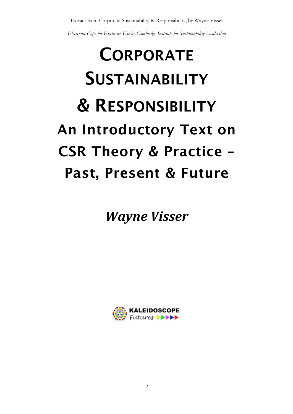Extract from Corporate Sustainability & Responsibility, by Wayne Visser

*Electronic Copy for Exclusive Use by Cambridge Institute for Sustainability Leadership*

# **CORPORATE SUSTAINABILITY & RESPONSIBILITY An Introductory Text on CSR Theory & Practice – Past, Present & Future**

*Wayne Visser*

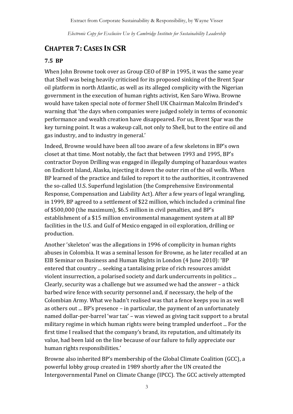## **CHAPTER 7: CASES IN CSR**

### **7.5 BP**

When John Browne took over as Group CEO of BP in 1995, it was the same year that Shell was being heavily criticised for its proposed sinking of the Brent Spar oil platform in north Atlantic, as well as its alleged complicity with the Nigerian government in the execution of human rights activist, Ken Saro Wiwa. Browne would have taken special note of former Shell UK Chairman Malcolm Brinded's warning that 'the days when companies were judged solely in terms of economic performance and wealth creation have disappeared. For us, Brent Spar was the key turning point. It was a wakeup call, not only to Shell, but to the entire oil and gas industry, and to industry in general.'

Indeed, Browne would have been all too aware of a few skeletons in BP's own closet at that time. Most notably, the fact that between 1993 and 1995, BP's contractor Doyon Drilling was engaged in illegally dumping of hazardous wastes on Endicott Island, Alaska, injecting it down the outer rim of the oil wells. When BP learned of the practice and failed to report it to the authorities, it contravened the so-called U.S. Superfund legislation (the Comprehensive Environmental Response, Compensation and Liability Act). After a few years of legal wrangling, in 1999, BP agreed to a settlement of \$22 million, which included a criminal fine of \$500,000 (the maximum), \$6.5 million in civil penalties, and BP's establishment of a \$15 million environmental management system at all BP facilities in the U.S. and Gulf of Mexico engaged in oil exploration, drilling or production.

Another 'skeleton' was the allegations in 1996 of complicity in human rights abuses in Colombia. It was a seminal lesson for Browne, as he later recalled at an EIB Seminar on Business and Human Rights in London (4 June 2010): 'BP entered that country ... seeking a tantalising prize of rich resources amidst violent insurrection, a polarised society and dark undercurrents in politics ... Clearly, security was a challenge but we assumed we had the answer  $-$  a thick barbed wire fence with security personnel and, if necessary, the help of the Colombian Army. What we hadn't realised was that a fence keeps you in as well as others out ...  $BP$ 's presence – in particular, the payment of an unfortunately named dollar-per-barrel 'war tax' – was viewed as giving tacit support to a brutal military regime in which human rights were being trampled underfoot ... For the first time I realised that the company's brand, its reputation, and ultimately its value, had been laid on the line because of our failure to fully appreciate our human rights responsibilities.'

Browne also inherited BP's membership of the Global Climate Coalition (GCC), a powerful lobby group created in 1989 shortly after the UN created the Intergovernmental Panel on Climate Change (IPCC). The GCC actively attempted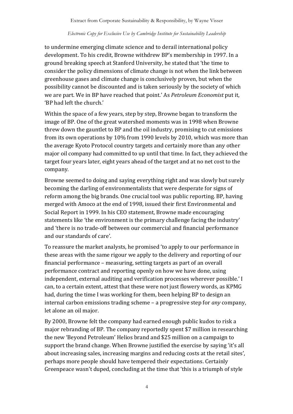to undermine emerging climate science and to derail international policy development. To his credit, Browne withdrew BP's membership in 1997. In a ground breaking speech at Stanford University, he stated that 'the time to consider the policy dimensions of climate change is not when the link between greenhouse gases and climate change is conclusively proven, but when the possibility cannot be discounted and is taken seriously by the society of which we are part. We in BP have reached that point.' As *Petroleum Economist* put it, 'BP had left the church.'

Within the space of a few years, step by step, Browne began to transform the image of BP. One of the great watershed moments was in 1998 when Browne threw down the gauntlet to BP and the oil industry, promising to cut emissions from its own operations by 10% from 1990 levels by 2010, which was more than the average Kyoto Protocol country targets and certainly more than any other major oil company had committed to up until that time. In fact, they achieved the target four years later, eight years ahead of the target and at no net cost to the company.

Browne seemed to doing and saying everything right and was slowly but surely becoming the darling of environmentalists that were desperate for signs of reform among the big brands. One crucial tool was public reporting. BP, having merged with Amoco at the end of 1998, issued their first Environmental and Social Report in 1999. In his CEO statement, Browne made encouraging statements like 'the environment is the primary challenge facing the industry' and 'there is no trade-off between our commercial and financial performance and our standards of care'.

To reassure the market analysts, he promised 'to apply to our performance in these areas with the same rigour we apply to the delivery and reporting of our financial performance – measuring, setting targets as part of an overall performance contract and reporting openly on how we have done, using independent, external auditing and verification processes wherever possible.' I can, to a certain extent, attest that these were not just flowery words, as KPMG had, during the time I was working for them, been helping BP to design an internal carbon emissions trading scheme - a progressive step for *any* company, let alone an oil major.

By 2000, Browne felt the company had earned enough public kudos to risk a major rebranding of BP. The company reportedly spent \$7 million in researching the new 'Beyond Petroleum' Helios brand and \$25 million on a campaign to support the brand change. When Browne justified the exercise by saying 'it's all about increasing sales, increasing margins and reducing costs at the retail sites'. perhaps more people should have tempered their expectations. Certainly Greenpeace wasn't duped, concluding at the time that 'this is a triumph of style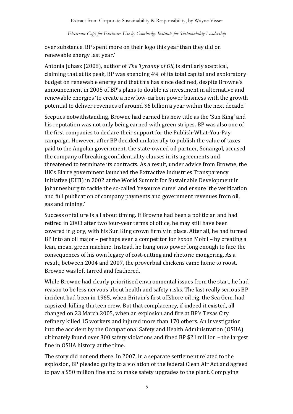over substance. BP spent more on their logo this year than they did on renewable energy last year.'

Antonia Juhasz (2008), author of *The Tyranny of Oil*, is similarly sceptical, claiming that at its peak, BP was spending  $4\%$  of its total capital and exploratory budget on renewable energy and that this has since declined, despite Browne's announcement in 2005 of BP's plans to double its investment in alternative and renewable energies 'to create a new low-carbon power business with the growth potential to deliver revenues of around \$6 billion a vear within the next decade.'

Sceptics notwithstanding, Browne had earned his new title as the 'Sun King' and his reputation was not only being earned with green stripes. BP was also one of the first companies to declare their support for the Publish-What-You-Pay campaign. However, after BP decided unilaterally to publish the value of taxes paid to the Angolan government, the state-owned oil partner, Sonangol, accused the company of breaking confidentiality clauses in its agreements and threatened to terminate its contracts. As a result, under advice from Browne, the UK's Blaire government launched the Extractive Industries Transparency Initiative (EITI) in 2002 at the World Summit for Sustainable Development in Johannesburg to tackle the so-called 'resource curse' and ensure 'the verification and full publication of company payments and government revenues from oil, gas and mining.'

Success or failure is all about timing. If Browne had been a politician and had retired in 2003 after two four-year terms of office, he may still have been covered in glory, with his Sun King crown firmly in place. After all, he had turned BP into an oil major – perhaps even a competitor for Exxon Mobil – by creating a lean, mean, green machine. Instead, he hung onto power long enough to face the consequences of his own legacy of cost-cutting and rhetoric mongering. As a result, between 2004 and 2007, the proverbial chickens came home to roost. Browne was left tarred and feathered.

While Browne had clearly prioritised environmental issues from the start, he had reason to be less nervous about health and safety risks. The last really serious BP incident had been in 1965, when Britain's first offshore oil rig, the Sea Gem, had capsized, killing thirteen crew. But that complacency, if indeed it existed, all changed on 23 March 2005, when an explosion and fire at BP's Texas City refinery killed 15 workers and injured more than 170 others. An investigation into the accident by the Occupational Safety and Health Administration (OSHA) ultimately found over 300 safety violations and fined BP \$21 million – the largest fine in OSHA history at the time.

The story did not end there. In 2007, in a separate settlement related to the explosion, BP pleaded guilty to a violation of the federal Clean Air Act and agreed to pay a \$50 million fine and to make safety upgrades to the plant. Complying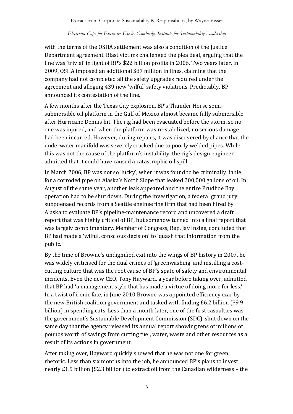with the terms of the OSHA settlement was also a condition of the Justice Department agreement. Blast victims challenged the plea deal, arguing that the fine was 'trivial' in light of BP's \$22 billion profits in 2006. Two vears later, in 2009, OSHA imposed an additional \$87 million in fines, claiming that the company had not completed all the safety upgrades required under the agreement and alleging 439 new 'wilful' safety violations. Predictably, BP announced its contestation of the fine.

A few months after the Texas City explosion, BP's Thunder Horse semisubmersible oil platform in the Gulf of Mexico almost became fully submersible after Hurricane Dennis hit. The rig had been evacuated before the storm, so no one was injured, and when the platform was re-stabilized, no serious damage had been incurred. However, during repairs, it was discovered by chance that the underwater manifold was severely cracked due to poorly welded pipes. While this was not the cause of the platform's instability, the rig's design engineer admitted that it could have caused a catastrophic oil spill.

In March 2006, BP was not so 'lucky', when it was found to be criminally liable for a corroded pipe on Alaska's North Slope that leaked 200,000 gallons of oil. In August of the same year, another leak appeared and the entire Prudhoe Bay operation had to be shut down. During the investigation, a federal grand jury subpoenaed records from a Seattle engineering firm that had been hired by Alaska to evaluate BP's pipeline-maintenance record and uncovered a draft report that was highly critical of BP, but somehow turned into a final report that was largely complimentary. Member of Congress, Rep. Jay Inslee, concluded that BP had made a 'wilful, conscious decision' to 'quash that information from the public.'

By the time of Browne's undignified exit into the wings of BP history in 2007, he was widely criticised for the dual crimes of 'greenwashing' and instilling a costcutting culture that was the root cause of BP's spate of safety and environmental incidents. Even the new CEO, Tony Hayward, a year before taking over, admitted that BP had 'a management style that has made a virtue of doing more for less.' In a twist of ironic fate, in June 2010 Browne was appointed efficiency czar by the new British coalition government and tasked with finding  $£6.2$  billion (\$9.9 billion) in spending cuts. Less than a month later, one of the first casualties was the government's Sustainable Development Commission (SDC), shut down on the same day that the agency released its annual report showing tens of millions of pounds worth of savings from cutting fuel, water, waste and other resources as a result of its actions in government.

After taking over, Hayward quickly showed that he was not one for green rhetoric. Less than six months into the job, he announced BP's plans to invest nearly  $£1.5$  billion  $(\$2.3$  billion) to extract oil from the Canadian wilderness – the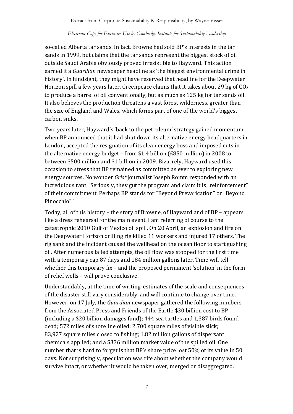so-called Alberta tar sands. In fact, Browne had sold BP's interests in the tar sands in 1999, but claims that the tar sands represent the biggest stock of oil outside Saudi Arabia obviously proved irresistible to Hayward. This action earned it a *Guardian* newspaper headline as 'the biggest environmental crime in history'. In hindsight, they might have reserved that headline for the Deepwater Horizon spill a few years later. Greenpeace claims that it takes about 29 kg of  $CO<sub>2</sub>$ to produce a barrel of oil conventionally, but as much as 125 kg for tar sands oil. It also believes the production threatens a vast forest wilderness, greater than the size of England and Wales, which forms part of one of the world's biggest carbon sinks.

Two years later, Hayward's 'back to the petroleum' strategy gained momentum when BP announced that it had shut down its alternative energy headquarters in London, accepted the resignation of its clean energy boss and imposed cuts in the alternative energy budget – from \$1.4 billion  $(E850$  million) in 2008 to between \$500 million and \$1 billion in 2009. Bizarrely, Hayward used this occasion to stress that BP remained as committed as ever to exploring new energy sources. No wonder *Grist* journalist Joseph Romm responded with an incredulous rant: 'Seriously, they gut the program and claim it is "reinforcement" of their commitment. Perhaps BP stands for "Beyond Prevarication" or "Beyond Pinocchio".'

Today, all of this history – the story of Browne, of Hayward and of  $BP$  – appears like a dress rehearsal for the main event. I am referring of course to the catastrophic 2010 Gulf of Mexico oil spill. On 20 April, an explosion and fire on the Deepwater Horizon drilling rig killed 11 workers and injured 17 others. The rig sank and the incident caused the wellhead on the ocean floor to start gushing oil. After numerous failed attempts, the oil flow was stopped for the first time with a temporary cap 87 days and 184 million gallons later. Time will tell whether this temporary fix – and the proposed permanent 'solution' in the form of relief wells - will prove conclusive.

Understandably, at the time of writing, estimates of the scale and consequences of the disaster still vary considerably, and will continue to change over time. However, on 17 July, the *Guardian* newspaper gathered the following numbers from the Associated Press and Friends of the Earth: \$30 billion cost to BP (including a \$20 billion damages fund);  $444$  sea turtles and 1,387 birds found dead; 572 miles of shoreline oiled; 2,700 square miles of visible slick; 83,927 square miles closed to fishing; 1.82 million gallons of dispersant chemicals applied; and a \$336 million market value of the spilled oil. One number that is hard to forget is that BP's share price lost 50% of its value in 50 days. Not surprisingly, speculation was rife about whether the company would survive intact, or whether it would be taken over, merged or disaggregated.